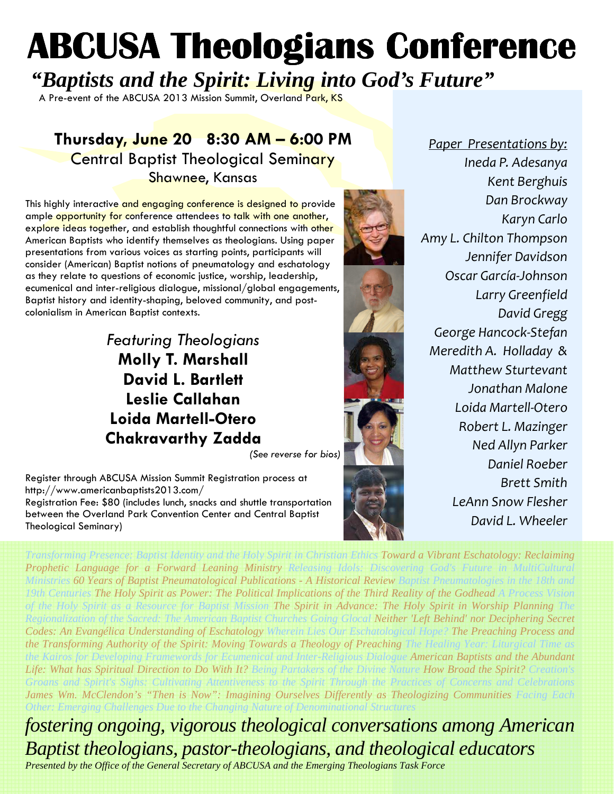# **ABCUSA Theologians Conference**

*"Baptists and the Spirit: Living into God's Future"*

A Pre-event of the ABCUSA 2013 Mission Summit, Overland Park, KS

# Thursday, June 20 8:30 AM – 6:00 PM **Central Baptist Theological Seminary** Shawnee, Kansas

This highly interactive and engaging conference is designed to provide ample opportunity for conference attendees to talk with one another, explore ideas together, and establish thoughtful connections with other American Baptists who identify themselves as theologians. Using paper presentations from various voices as starting points, participants will consider (American) Baptist notions of pneumatology and eschatology as they relate to questions of economic justice, worship, leadership, ecumenical and inter-religious dialogue, missional/global engagements, Baptist history and identity-shaping, beloved community, and postcolonialism in American Baptist contexts.

# Featuring Theologians Molly T. Marshall David L. Bartlett Leslie Callahan Loida Martell-Otero Chakravarthy Zadda

(See reverse for bios)

Register through ABCUSA Mission Summit Registration process at http://www.americanbaptists2013.com/ Registration Fee: \$80 (includes lunch, snacks and shuttle transportation

between the Overland Park Convention Center and Central Baptist Theological Seminary)



Paper Presentations by: Ineda P. Adesanya Kent Berghuis Dan Brockway Karyn Carlo Amy L. Chilton Thompson Jennifer Davidson Oscar García-Johnson Larry Greenfield David Gregg George Hancock-Stefan Meredith A. Holladay & Matthew Sturtevant Jonathan Malone Loida Martell-Otero Robert L. Mazinger Ned Allyn Parker Daniel Roeber Brett Smith LeAnn Snow Flesher David L. Wheeler

*Transforming Presence: Baptist Identity and the Holy Spirit in Christian Ethics Toward a Vibrant Eschatology: Reclaiming* 

*Prophetic Language for a Forward Leaning Ministry Releasing Idols: Discovering God's Future in MultiCultural Ministries 60 Years of Baptist Pneumatological Publications - A Historical Review Baptist Pneumatologies in the 18th and 19th Centuries The Holy Spirit as Power: The Political Implications of the Third Reality of the Godhead A Process Vision of the Holy Spirit as a Resource for Baptist Mission The Spirit in Advance: The Holy Spirit in Worship Planning The Regionalization of the Sacred: The American Baptist Churches Going Glocal Neither 'Left Behind' nor Deciphering Secret Codes: An Evangélica Understanding of Eschatology Wherein Lies Our Eschatological Hope? The Preaching Process and the Transforming Authority of the Spirit: Moving Towards a Theology of Preaching The Healing Year: Liturgical Time as the Kairos for Developing Framewords for Ecumenical and Inter-Religious Dialogue American Baptists and the Abundant Life: What has Spiritual Direction to Do With It? Being Partakers of the Divine Nature How Broad the Spirit? Creation's Groans and Spirit's Sighs: Cultivating Attentiveness to the Spirit Through the Practices of Concerns and Celebrations James Wm. McClendon's "Then is Now": Imagining Ourselves Differently as Theologizing Communities Facing Each* 

*Other: Emerging Challenges Due to the Changing Nature of Denominational Structures* 

*fostering ongoing, vigorous theological conversations among American Baptist theologians, pastor-theologians, and theological educators* 

*Presented by the Office of the General Secretary of ABCUSA and the Emerging Theologians Task Force*